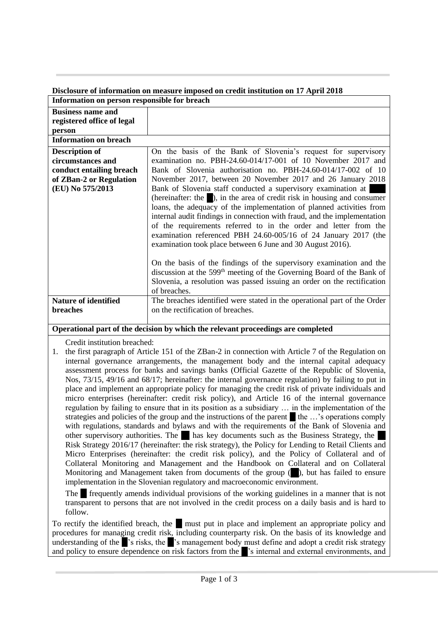## **Disclosure of information on measure imposed on credit institution on 17 April 2018 Information on person responsible for breach**

| Information on person responsible for breach                                                                                                                                                                                                                                                                      |                                                                                                                                                          |
|-------------------------------------------------------------------------------------------------------------------------------------------------------------------------------------------------------------------------------------------------------------------------------------------------------------------|----------------------------------------------------------------------------------------------------------------------------------------------------------|
| <b>Business name and</b>                                                                                                                                                                                                                                                                                          |                                                                                                                                                          |
| registered office of legal                                                                                                                                                                                                                                                                                        |                                                                                                                                                          |
| person                                                                                                                                                                                                                                                                                                            |                                                                                                                                                          |
| <b>Information on breach</b>                                                                                                                                                                                                                                                                                      |                                                                                                                                                          |
| <b>Description of</b>                                                                                                                                                                                                                                                                                             | On the basis of the Bank of Slovenia's request for supervisory                                                                                           |
| circumstances and                                                                                                                                                                                                                                                                                                 | examination no. PBH-24.60-014/17-001 of 10 November 2017 and                                                                                             |
| conduct entailing breach                                                                                                                                                                                                                                                                                          | Bank of Slovenia authorisation no. PBH-24.60-014/17-002 of 10                                                                                            |
| of ZBan-2 or Regulation                                                                                                                                                                                                                                                                                           | November 2017, between 20 November 2017 and 26 January 2018                                                                                              |
| (EU) No 575/2013                                                                                                                                                                                                                                                                                                  | Bank of Slovenia staff conducted a supervisory examination at                                                                                            |
|                                                                                                                                                                                                                                                                                                                   | (hereinafter: the $\Box$ ), in the area of credit risk in housing and consumer                                                                           |
|                                                                                                                                                                                                                                                                                                                   | loans, the adequacy of the implementation of planned activities from                                                                                     |
|                                                                                                                                                                                                                                                                                                                   | internal audit findings in connection with fraud, and the implementation                                                                                 |
|                                                                                                                                                                                                                                                                                                                   | of the requirements referred to in the order and letter from the                                                                                         |
|                                                                                                                                                                                                                                                                                                                   | examination referenced PBH 24.60-005/16 of 24 January 2017 (the                                                                                          |
|                                                                                                                                                                                                                                                                                                                   | examination took place between 6 June and 30 August 2016).                                                                                               |
|                                                                                                                                                                                                                                                                                                                   |                                                                                                                                                          |
|                                                                                                                                                                                                                                                                                                                   | On the basis of the findings of the supervisory examination and the<br>discussion at the 599 <sup>th</sup> meeting of the Governing Board of the Bank of |
|                                                                                                                                                                                                                                                                                                                   | Slovenia, a resolution was passed issuing an order on the rectification                                                                                  |
|                                                                                                                                                                                                                                                                                                                   | of breaches.                                                                                                                                             |
| <b>Nature of identified</b>                                                                                                                                                                                                                                                                                       | The breaches identified were stated in the operational part of the Order                                                                                 |
| breaches                                                                                                                                                                                                                                                                                                          | on the rectification of breaches.                                                                                                                        |
|                                                                                                                                                                                                                                                                                                                   |                                                                                                                                                          |
| Operational part of the decision by which the relevant proceedings are completed                                                                                                                                                                                                                                  |                                                                                                                                                          |
|                                                                                                                                                                                                                                                                                                                   |                                                                                                                                                          |
| Credit institution breached:                                                                                                                                                                                                                                                                                      |                                                                                                                                                          |
| the first paragraph of Article 151 of the ZBan-2 in connection with Article 7 of the Regulation on<br>1.                                                                                                                                                                                                          |                                                                                                                                                          |
| internal governance arrangements, the management body and the internal capital adequacy                                                                                                                                                                                                                           |                                                                                                                                                          |
| assessment process for banks and savings banks (Official Gazette of the Republic of Slovenia,                                                                                                                                                                                                                     |                                                                                                                                                          |
| Nos, 73/15, 49/16 and 68/17; hereinafter: the internal governance regulation) by failing to put in                                                                                                                                                                                                                |                                                                                                                                                          |
| place and implement an appropriate policy for managing the credit risk of private individuals and                                                                                                                                                                                                                 |                                                                                                                                                          |
| micro enterprises (hereinafter: credit risk policy), and Article 16 of the internal governance<br>regulation by failing to ensure that in its position as a subsidiary  in the implementation of the                                                                                                              |                                                                                                                                                          |
| $\mathcal{L}$ and $\mathcal{L}$ and $\mathcal{L}$ and $\mathcal{L}$ and $\mathcal{L}$ and $\mathcal{L}$ and $\mathcal{L}$ and $\mathcal{L}$ and $\mathcal{L}$ and $\mathcal{L}$ and $\mathcal{L}$ and $\mathcal{L}$ and $\mathcal{L}$ and $\mathcal{L}$ and $\mathcal{L}$ and $\mathcal{L}$ and $\mathcal{L}$ and |                                                                                                                                                          |

strategies and policies of the group and the instructions of the parent the …'s operations comply with regulations, standards and bylaws and with the requirements of the Bank of Slovenia and other supervisory authorities. The … has key documents such as the Business Strategy, the … Risk Strategy 2016/17 (hereinafter: the risk strategy), the Policy for Lending to Retail Clients and Micro Enterprises (hereinafter: the credit risk policy), and the Policy of Collateral and of Collateral Monitoring and Management and the Handbook on Collateral and on Collateral Monitoring and Management taken from documents of the group  $(\blacksquare)$ , but has failed to ensure implementation in the Slovenian regulatory and macroeconomic environment.

The frequently amends individual provisions of the working guidelines in a manner that is not transparent to persons that are not involved in the credit process on a daily basis and is hard to follow.

To rectify the identified breach, the  $\blacksquare$  must put in place and implement an appropriate policy and procedures for managing credit risk, including counterparty risk. On the basis of its knowledge and understanding of the  $\mathbb{R}^3$  risks, the  $\mathbb{R}^3$  management body must define and adopt a credit risk strategy and policy to ensure dependence on risk factors from the  $\mathbf{r}_s$  internal and external environments, and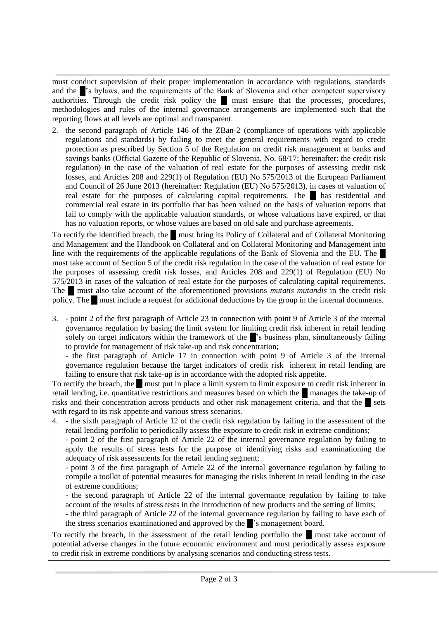must conduct supervision of their proper implementation in accordance with regulations, standards and the <sup>3</sup>'s bylaws, and the requirements of the Bank of Slovenia and other competent supervisory authorities. Through the credit risk policy the **numeral must ensure that the processes**, procedures, methodologies and rules of the internal governance arrangements are implemented such that the reporting flows at all levels are optimal and transparent.

2. the second paragraph of Article 146 of the ZBan-2 (compliance of operations with applicable regulations and standards) by failing to meet the general requirements with regard to credit protection as prescribed by Section 5 of the Regulation on credit risk management at banks and savings banks (Official Gazette of the Republic of Slovenia, No. 68/17; hereinafter: the credit risk regulation) in the case of the valuation of real estate for the purposes of assessing credit risk losses, and Articles 208 and 229(1) of Regulation (EU) No 575/2013 of the European Parliament and Council of 26 June 2013 (hereinafter: Regulation (EU) No 575/2013), in cases of valuation of real estate for the purposes of calculating capital requirements. The ... has residential and commercial real estate in its portfolio that has been valued on the basis of valuation reports that fail to comply with the applicable valuation standards, or whose valuations have expired, or that has no valuation reports, or whose values are based on old sale and purchase agreements.

To rectify the identified breach, the must bring its Policy of Collateral and of Collateral Monitoring and Management and the Handbook on Collateral and on Collateral Monitoring and Management into line with the requirements of the applicable regulations of the Bank of Slovenia and the EU. The must take account of Section 5 of the credit risk regulation in the case of the valuation of real estate for the purposes of assessing credit risk losses, and Articles 208 and 229(1) of Regulation (EU) No 575/2013 in cases of the valuation of real estate for the purposes of calculating capital requirements. The must also take account of the aforementioned provisions *mutatis mutandis* in the credit risk policy. The **...** must include a request for additional deductions by the group in the internal documents.

3. - point 2 of the first paragraph of Article 23 in connection with point 9 of Article 3 of the internal governance regulation by basing the limit system for limiting credit risk inherent in retail lending solely on target indicators within the framework of the strategies plan, simultaneously failing to provide for management of risk take-up and risk concentration;

- the first paragraph of Article 17 in connection with point 9 of Article 3 of the internal governance regulation because the target indicators of credit risk inherent in retail lending are failing to ensure that risk take-up is in accordance with the adopted risk appetite.

To rectify the breach, the must put in place a limit system to limit exposure to credit risk inherent in retail lending, i.e. quantitative restrictions and measures based on which the manages the take-up of risks and their concentration across products and other risk management criteria, and that the sets with regard to its risk appetite and various stress scenarios.

4. - the sixth paragraph of Article 12 of the credit risk regulation by failing in the assessment of the retail lending portfolio to periodically assess the exposure to credit risk in extreme conditions;

- point 2 of the first paragraph of Article 22 of the internal governance regulation by failing to apply the results of stress tests for the purpose of identifying risks and examinationing the adequacy of risk assessments for the retail lending segment;

- point 3 of the first paragraph of Article 22 of the internal governance regulation by failing to compile a toolkit of potential measures for managing the risks inherent in retail lending in the case of extreme conditions;

- the second paragraph of Article 22 of the internal governance regulation by failing to take account of the results of stress tests in the introduction of new products and the setting of limits;

- the third paragraph of Article 22 of the internal governance regulation by failing to have each of the stress scenarios examinationed and approved by the strangement board.

To rectify the breach, in the assessment of the retail lending portfolio the ... must take account of potential adverse changes in the future economic environment and must periodically assess exposure to credit risk in extreme conditions by analysing scenarios and conducting stress tests.